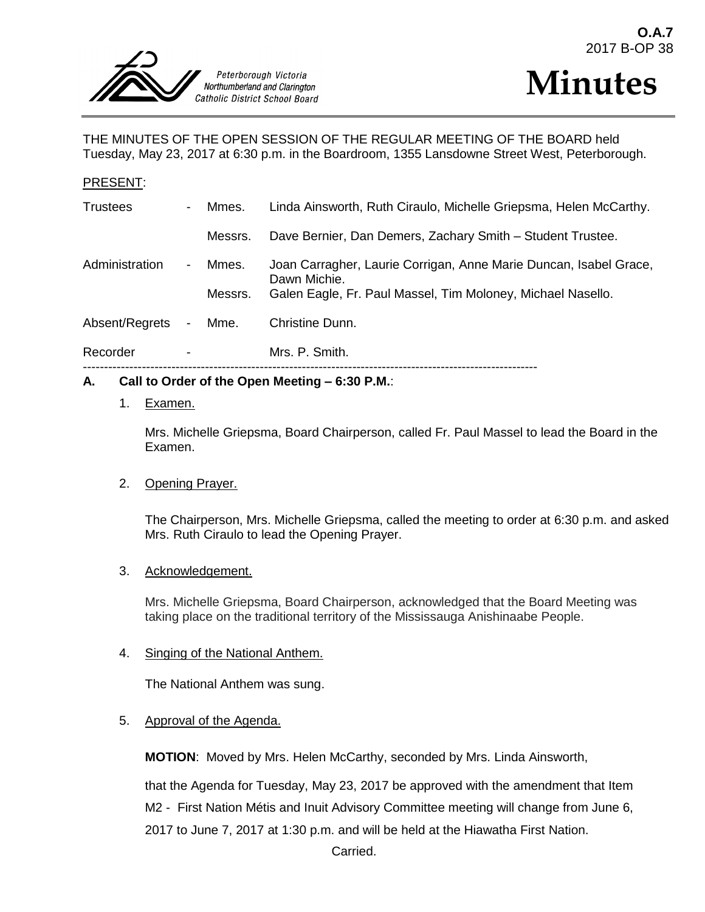



THE MINUTES OF THE OPEN SESSION OF THE REGULAR MEETING OF THE BOARD held Tuesday, May 23, 2017 at 6:30 p.m. in the Boardroom, 1355 Lansdowne Street West, Peterborough.

### PRESENT:

| Recorder        | $\overline{\phantom{a}}$ |         | Mrs. P. Smith.                                                                    |
|-----------------|--------------------------|---------|-----------------------------------------------------------------------------------|
| Absent/Regrets  | $\sim$                   | Mme.    | Christine Dunn.                                                                   |
|                 |                          | Messrs. | Galen Eagle, Fr. Paul Massel, Tim Moloney, Michael Nasello.                       |
| Administration  | $\sim$                   | Mmes.   | Joan Carragher, Laurie Corrigan, Anne Marie Duncan, Isabel Grace,<br>Dawn Michie. |
|                 |                          | Messrs. | Dave Bernier, Dan Demers, Zachary Smith - Student Trustee.                        |
| <b>Trustees</b> | $\sim$                   | Mmes.   | Linda Ainsworth, Ruth Ciraulo, Michelle Griepsma, Helen McCarthy.                 |

### **A. Call to Order of the Open Meeting – 6:30 P.M.**:

### 1. Examen.

Mrs. Michelle Griepsma, Board Chairperson, called Fr. Paul Massel to lead the Board in the Examen.

### 2. Opening Prayer.

The Chairperson, Mrs. Michelle Griepsma, called the meeting to order at 6:30 p.m. and asked Mrs. Ruth Ciraulo to lead the Opening Prayer.

### 3. Acknowledgement.

Mrs. Michelle Griepsma, Board Chairperson, acknowledged that the Board Meeting was taking place on the traditional territory of the Mississauga Anishinaabe People.

### 4. Singing of the National Anthem.

The National Anthem was sung.

### 5. Approval of the Agenda.

**MOTION**: Moved by Mrs. Helen McCarthy, seconded by Mrs. Linda Ainsworth,

that the Agenda for Tuesday, May 23, 2017 be approved with the amendment that Item M2 - First Nation Métis and Inuit Advisory Committee meeting will change from June 6, 2017 to June 7, 2017 at 1:30 p.m. and will be held at the Hiawatha First Nation.

Carried.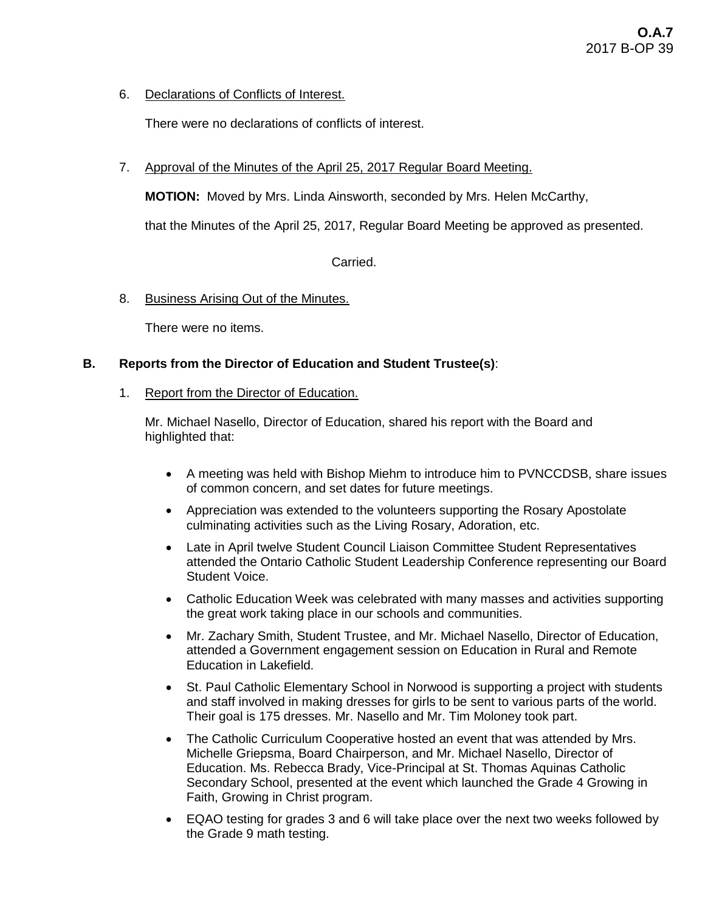# 6. Declarations of Conflicts of Interest.

There were no declarations of conflicts of interest.

# 7. Approval of the Minutes of the April 25, 2017 Regular Board Meeting.

**MOTION:** Moved by Mrs. Linda Ainsworth, seconded by Mrs. Helen McCarthy,

that the Minutes of the April 25, 2017, Regular Board Meeting be approved as presented.

Carried.

### 8. Business Arising Out of the Minutes.

There were no items.

### **B. Reports from the Director of Education and Student Trustee(s)**:

### 1. Report from the Director of Education.

Mr. Michael Nasello, Director of Education, shared his report with the Board and highlighted that:

- A meeting was held with Bishop Miehm to introduce him to PVNCCDSB, share issues of common concern, and set dates for future meetings.
- Appreciation was extended to the volunteers supporting the Rosary Apostolate culminating activities such as the Living Rosary, Adoration, etc.
- Late in April twelve Student Council Liaison Committee Student Representatives attended the Ontario Catholic Student Leadership Conference representing our Board Student Voice.
- Catholic Education Week was celebrated with many masses and activities supporting the great work taking place in our schools and communities.
- Mr. Zachary Smith, Student Trustee, and Mr. Michael Nasello, Director of Education, attended a Government engagement session on Education in Rural and Remote Education in Lakefield.
- St. Paul Catholic Elementary School in Norwood is supporting a project with students and staff involved in making dresses for girls to be sent to various parts of the world. Their goal is 175 dresses. Mr. Nasello and Mr. Tim Moloney took part.
- The Catholic Curriculum Cooperative hosted an event that was attended by Mrs. Michelle Griepsma, Board Chairperson, and Mr. Michael Nasello, Director of Education. Ms. Rebecca Brady, Vice-Principal at St. Thomas Aquinas Catholic Secondary School, presented at the event which launched the Grade 4 Growing in Faith, Growing in Christ program.
- EQAO testing for grades 3 and 6 will take place over the next two weeks followed by the Grade 9 math testing.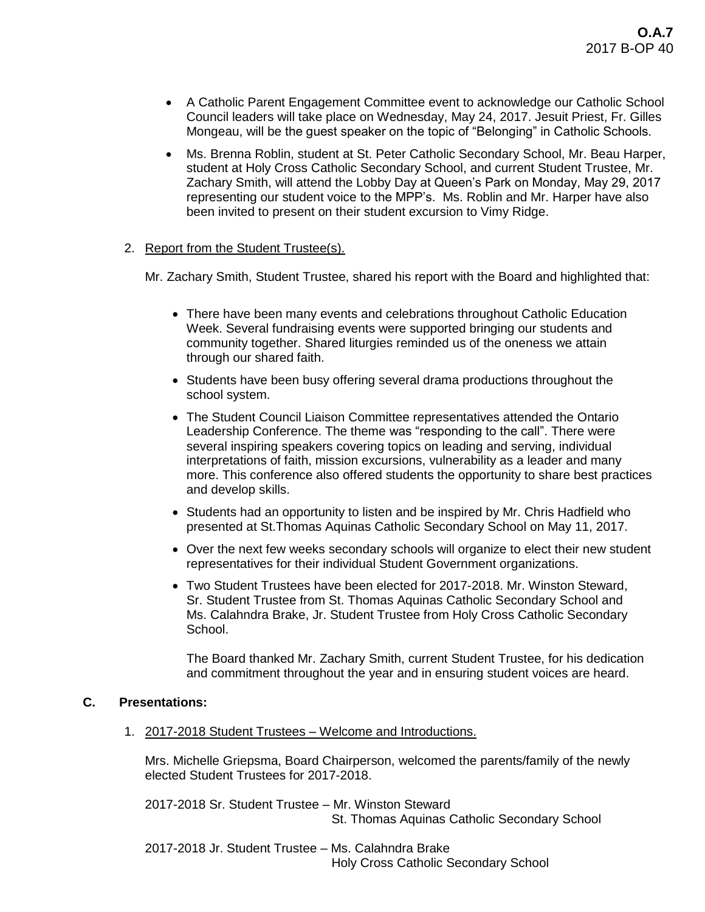- A Catholic Parent Engagement Committee event to acknowledge our Catholic School Council leaders will take place on Wednesday, May 24, 2017. Jesuit Priest, Fr. Gilles Mongeau, will be the guest speaker on the topic of "Belonging" in Catholic Schools.
- Ms. Brenna Roblin, student at St. Peter Catholic Secondary School, Mr. Beau Harper, student at Holy Cross Catholic Secondary School, and current Student Trustee, Mr. Zachary Smith, will attend the Lobby Day at Queen's Park on Monday, May 29, 2017 representing our student voice to the MPP's. Ms. Roblin and Mr. Harper have also been invited to present on their student excursion to Vimy Ridge.
- 2. Report from the Student Trustee(s).

Mr. Zachary Smith, Student Trustee, shared his report with the Board and highlighted that:

- There have been many events and celebrations throughout Catholic Education Week. Several fundraising events were supported bringing our students and community together. Shared liturgies reminded us of the oneness we attain through our shared faith.
- Students have been busy offering several drama productions throughout the school system.
- The Student Council Liaison Committee representatives attended the Ontario Leadership Conference. The theme was "responding to the call". There were several inspiring speakers covering topics on leading and serving, individual interpretations of faith, mission excursions, vulnerability as a leader and many more. This conference also offered students the opportunity to share best practices and develop skills.
- Students had an opportunity to listen and be inspired by Mr. Chris Hadfield who presented at St.Thomas Aquinas Catholic Secondary School on May 11, 2017.
- Over the next few weeks secondary schools will organize to elect their new student representatives for their individual Student Government organizations.
- Two Student Trustees have been elected for 2017-2018. Mr. Winston Steward, Sr. Student Trustee from St. Thomas Aquinas Catholic Secondary School and Ms. Calahndra Brake, Jr. Student Trustee from Holy Cross Catholic Secondary School.

The Board thanked Mr. Zachary Smith, current Student Trustee, for his dedication and commitment throughout the year and in ensuring student voices are heard.

# **C. Presentations:**

1. 2017-2018 Student Trustees – Welcome and Introductions.

Mrs. Michelle Griepsma, Board Chairperson, welcomed the parents/family of the newly elected Student Trustees for 2017-2018.

2017-2018 Sr. Student Trustee – Mr. Winston Steward St. Thomas Aquinas Catholic Secondary School

2017-2018 Jr. Student Trustee – Ms. Calahndra Brake Holy Cross Catholic Secondary School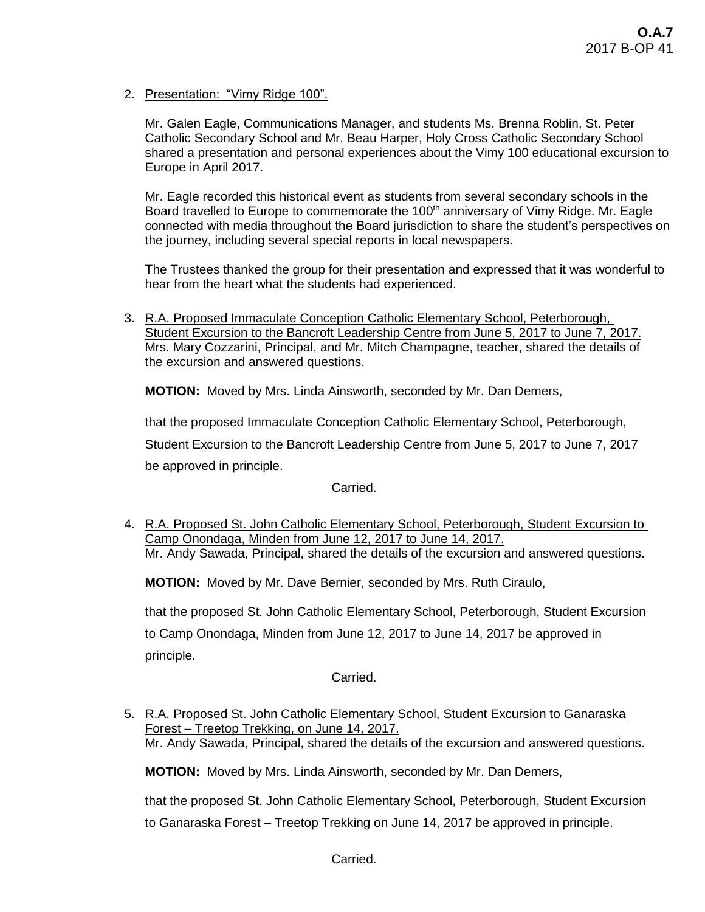2. Presentation: "Vimy Ridge 100".

Mr. Galen Eagle, Communications Manager, and students Ms. Brenna Roblin, St. Peter Catholic Secondary School and Mr. Beau Harper, Holy Cross Catholic Secondary School shared a presentation and personal experiences about the Vimy 100 educational excursion to Europe in April 2017.

Mr. Eagle recorded this historical event as students from several secondary schools in the Board travelled to Europe to commemorate the 100<sup>th</sup> anniversary of Vimy Ridge. Mr. Eagle connected with media throughout the Board jurisdiction to share the student's perspectives on the journey, including several special reports in local newspapers.

The Trustees thanked the group for their presentation and expressed that it was wonderful to hear from the heart what the students had experienced.

3. R.A. Proposed Immaculate Conception Catholic Elementary School, Peterborough, Student Excursion to the Bancroft Leadership Centre from June 5, 2017 to June 7, 2017. Mrs. Mary Cozzarini, Principal, and Mr. Mitch Champagne, teacher, shared the details of the excursion and answered questions.

**MOTION:** Moved by Mrs. Linda Ainsworth, seconded by Mr. Dan Demers,

that the proposed Immaculate Conception Catholic Elementary School, Peterborough,

Student Excursion to the Bancroft Leadership Centre from June 5, 2017 to June 7, 2017 be approved in principle.

Carried.

4. R.A. Proposed St. John Catholic Elementary School, Peterborough, Student Excursion to Camp Onondaga, Minden from June 12, 2017 to June 14, 2017. Mr. Andy Sawada, Principal, shared the details of the excursion and answered questions.

**MOTION:** Moved by Mr. Dave Bernier, seconded by Mrs. Ruth Ciraulo,

that the proposed St. John Catholic Elementary School, Peterborough, Student Excursion to Camp Onondaga, Minden from June 12, 2017 to June 14, 2017 be approved in principle.

Carried.

5. R.A. Proposed St. John Catholic Elementary School, Student Excursion to Ganaraska Forest – Treetop Trekking, on June 14, 2017. Mr. Andy Sawada, Principal, shared the details of the excursion and answered questions.

**MOTION:** Moved by Mrs. Linda Ainsworth, seconded by Mr. Dan Demers,

that the proposed St. John Catholic Elementary School, Peterborough, Student Excursion to Ganaraska Forest – Treetop Trekking on June 14, 2017 be approved in principle.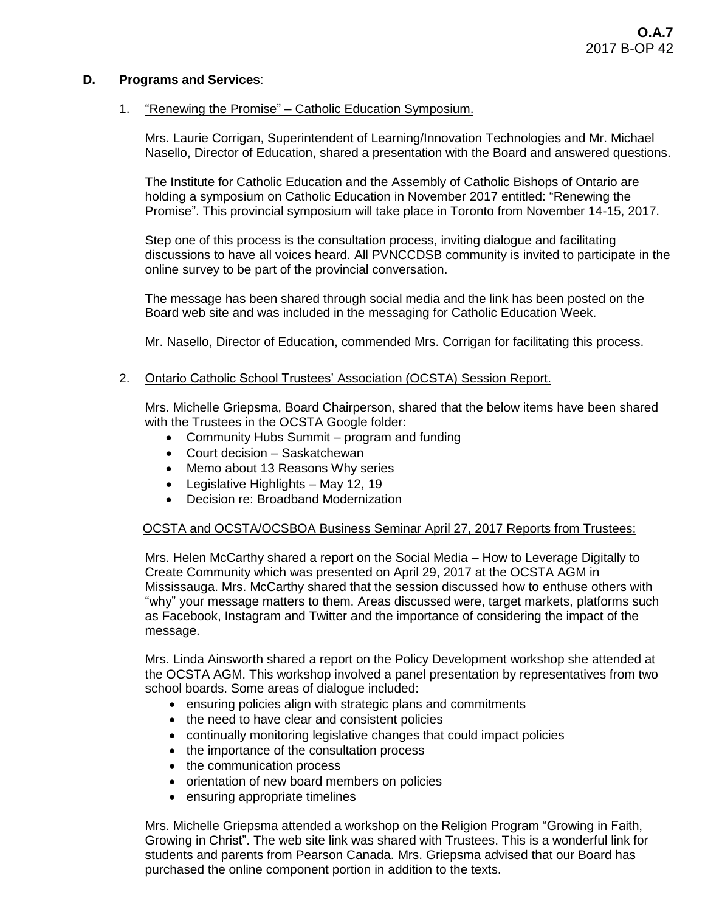# **D. Programs and Services**:

### 1. "Renewing the Promise" – Catholic Education Symposium.

Mrs. Laurie Corrigan, Superintendent of Learning/Innovation Technologies and Mr. Michael Nasello, Director of Education, shared a presentation with the Board and answered questions.

The Institute for Catholic Education and the Assembly of Catholic Bishops of Ontario are holding a symposium on Catholic Education in November 2017 entitled: "Renewing the Promise". This provincial symposium will take place in Toronto from November 14-15, 2017.

Step one of this process is the consultation process, inviting dialogue and facilitating discussions to have all voices heard. All PVNCCDSB community is invited to participate in the online survey to be part of the provincial conversation.

The message has been shared through social media and the link has been posted on the Board web site and was included in the messaging for Catholic Education Week.

Mr. Nasello, Director of Education, commended Mrs. Corrigan for facilitating this process.

### 2. Ontario Catholic School Trustees' Association (OCSTA) Session Report.

Mrs. Michelle Griepsma, Board Chairperson, shared that the below items have been shared with the Trustees in the OCSTA Google folder:

- Community Hubs Summit program and funding
- Court decision Saskatchewan
- Memo about 13 Reasons Why series
- Legislative Highlights May 12, 19
- Decision re: Broadband Modernization

# OCSTA and OCSTA/OCSBOA Business Seminar April 27, 2017 Reports from Trustees:

Mrs. Helen McCarthy shared a report on the Social Media – How to Leverage Digitally to Create Community which was presented on April 29, 2017 at the OCSTA AGM in Mississauga. Mrs. McCarthy shared that the session discussed how to enthuse others with "why" your message matters to them. Areas discussed were, target markets, platforms such as Facebook, Instagram and Twitter and the importance of considering the impact of the message.

Mrs. Linda Ainsworth shared a report on the Policy Development workshop she attended at the OCSTA AGM. This workshop involved a panel presentation by representatives from two school boards. Some areas of dialogue included:

- ensuring policies align with strategic plans and commitments
- the need to have clear and consistent policies
- continually monitoring legislative changes that could impact policies
- the importance of the consultation process
- the communication process
- orientation of new board members on policies
- ensuring appropriate timelines

Mrs. Michelle Griepsma attended a workshop on the Religion Program "Growing in Faith, Growing in Christ". The web site link was shared with Trustees. This is a wonderful link for students and parents from Pearson Canada. Mrs. Griepsma advised that our Board has purchased the online component portion in addition to the texts.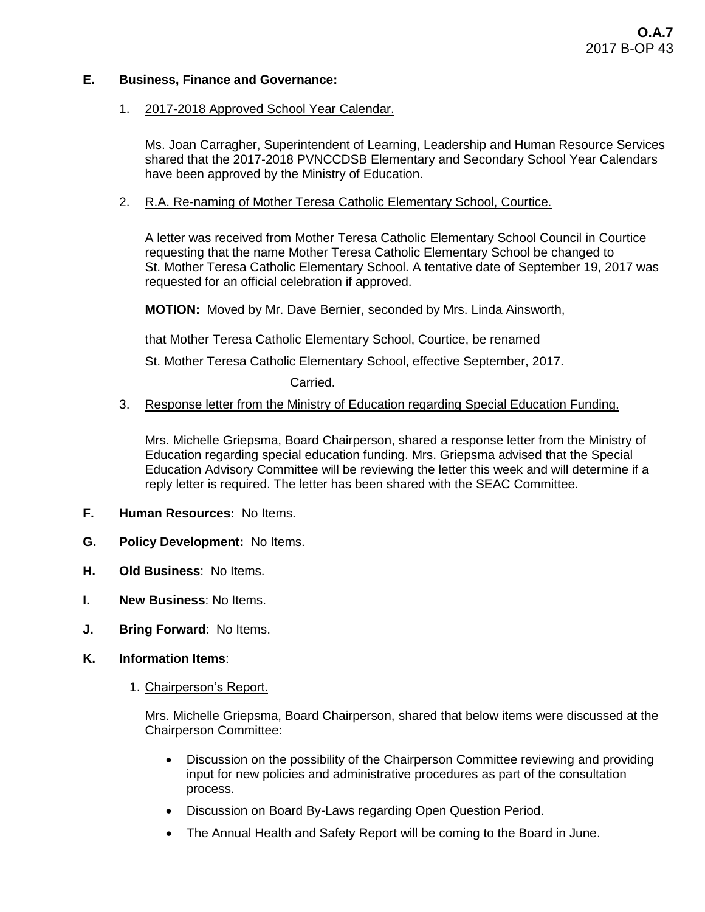# **E. Business, Finance and Governance:**

### 1. 2017-2018 Approved School Year Calendar.

Ms. Joan Carragher, Superintendent of Learning, Leadership and Human Resource Services shared that the 2017-2018 PVNCCDSB Elementary and Secondary School Year Calendars have been approved by the Ministry of Education.

### 2. R.A. Re-naming of Mother Teresa Catholic Elementary School, Courtice.

A letter was received from Mother Teresa Catholic Elementary School Council in Courtice requesting that the name Mother Teresa Catholic Elementary School be changed to St. Mother Teresa Catholic Elementary School. A tentative date of September 19, 2017 was requested for an official celebration if approved.

**MOTION:** Moved by Mr. Dave Bernier, seconded by Mrs. Linda Ainsworth,

that Mother Teresa Catholic Elementary School, Courtice, be renamed

St. Mother Teresa Catholic Elementary School, effective September, 2017.

Carried.

### 3. Response letter from the Ministry of Education regarding Special Education Funding.

Mrs. Michelle Griepsma, Board Chairperson, shared a response letter from the Ministry of Education regarding special education funding. Mrs. Griepsma advised that the Special Education Advisory Committee will be reviewing the letter this week and will determine if a reply letter is required. The letter has been shared with the SEAC Committee.

- **F. Human Resources:** No Items.
- **G. Policy Development:** No Items.
- **H. Old Business**: No Items.
- **I. New Business**: No Items.
- **J. Bring Forward**: No Items.
- **K. Information Items**:
	- 1. Chairperson's Report.

Mrs. Michelle Griepsma, Board Chairperson, shared that below items were discussed at the Chairperson Committee:

- Discussion on the possibility of the Chairperson Committee reviewing and providing input for new policies and administrative procedures as part of the consultation process.
- Discussion on Board By-Laws regarding Open Question Period.
- The Annual Health and Safety Report will be coming to the Board in June.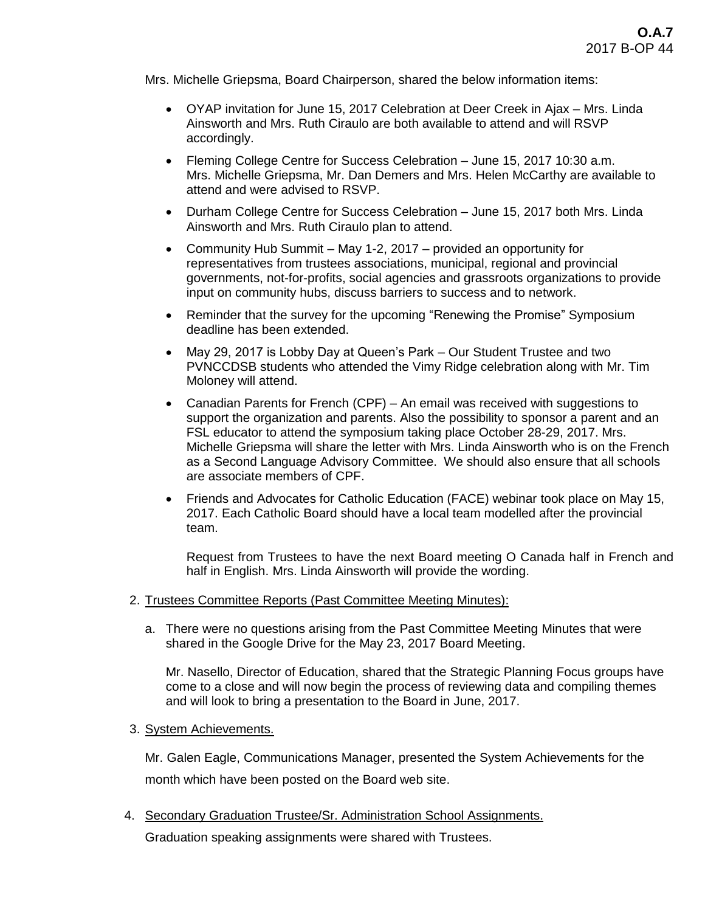Mrs. Michelle Griepsma, Board Chairperson, shared the below information items:

- OYAP invitation for June 15, 2017 Celebration at Deer Creek in Ajax Mrs. Linda Ainsworth and Mrs. Ruth Ciraulo are both available to attend and will RSVP accordingly.
- Fleming College Centre for Success Celebration June 15, 2017 10:30 a.m. Mrs. Michelle Griepsma, Mr. Dan Demers and Mrs. Helen McCarthy are available to attend and were advised to RSVP.
- Durham College Centre for Success Celebration June 15, 2017 both Mrs. Linda Ainsworth and Mrs. Ruth Ciraulo plan to attend.
- Community Hub Summit May 1-2, 2017 provided an opportunity for representatives from trustees associations, municipal, regional and provincial governments, not-for-profits, social agencies and grassroots organizations to provide input on community hubs, discuss barriers to success and to network.
- Reminder that the survey for the upcoming "Renewing the Promise" Symposium deadline has been extended.
- May 29, 2017 is Lobby Day at Queen's Park Our Student Trustee and two PVNCCDSB students who attended the Vimy Ridge celebration along with Mr. Tim Moloney will attend.
- Canadian Parents for French (CPF) An email was received with suggestions to support the organization and parents. Also the possibility to sponsor a parent and an FSL educator to attend the symposium taking place October 28-29, 2017. Mrs. Michelle Griepsma will share the letter with Mrs. Linda Ainsworth who is on the French as a Second Language Advisory Committee. We should also ensure that all schools are associate members of CPF.
- Friends and Advocates for Catholic Education (FACE) webinar took place on May 15, 2017. Each Catholic Board should have a local team modelled after the provincial team.

Request from Trustees to have the next Board meeting O Canada half in French and half in English. Mrs. Linda Ainsworth will provide the wording.

- 2. Trustees Committee Reports (Past Committee Meeting Minutes):
	- a. There were no questions arising from the Past Committee Meeting Minutes that were shared in the Google Drive for the May 23, 2017 Board Meeting.

Mr. Nasello, Director of Education, shared that the Strategic Planning Focus groups have come to a close and will now begin the process of reviewing data and compiling themes and will look to bring a presentation to the Board in June, 2017.

3. System Achievements.

Mr. Galen Eagle, Communications Manager, presented the System Achievements for the month which have been posted on the Board web site.

4. Secondary Graduation Trustee/Sr. Administration School Assignments.

Graduation speaking assignments were shared with Trustees.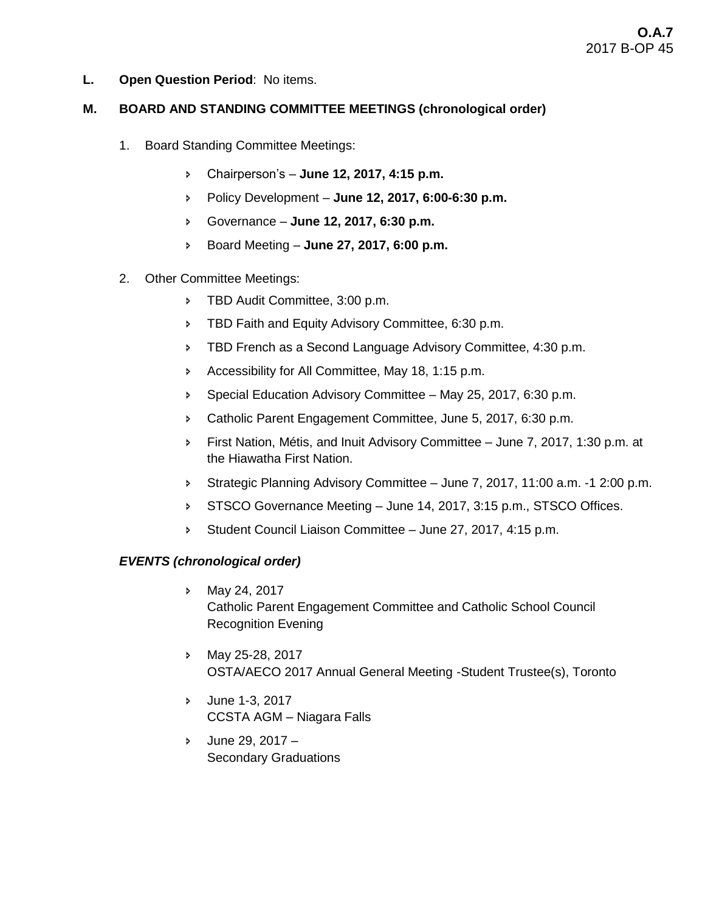**L. Open Question Period**: No items.

# **M. BOARD AND STANDING COMMITTEE MEETINGS (chronological order)**

- 1. Board Standing Committee Meetings:
	- Chairperson's **June 12, 2017, 4:15 p.m.**
	- Policy Development **June 12, 2017, 6:00-6:30 p.m.**
	- Governance **June 12, 2017, 6:30 p.m.**
	- Board Meeting **June 27, 2017, 6:00 p.m.**
- 2. Other Committee Meetings:
	- TBD Audit Committee, 3:00 p.m.
	- **FRED Faith and Equity Advisory Committee, 6:30 p.m.**
	- **FIBD French as a Second Language Advisory Committee, 4:30 p.m.**
	- Accessibility for All Committee, May 18, 1:15 p.m.
	- Special Education Advisory Committee May 25, 2017, 6:30 p.m.
	- **EXEC** Catholic Parent Engagement Committee, June 5, 2017, 6:30 p.m.
	- First Nation, Métis, and Inuit Advisory Committee June 7, 2017, 1:30 p.m. at the Hiawatha First Nation.
	- Strategic Planning Advisory Committee June 7, 2017, 11:00 a.m. -1 2:00 p.m.
	- STSCO Governance Meeting June 14, 2017, 3:15 p.m., STSCO Offices.
	- Student Council Liaison Committee June 27, 2017, 4:15 p.m.

# *EVENTS (chronological order)*

- May 24, 2017 Catholic Parent Engagement Committee and Catholic School Council Recognition Evening
- May 25-28, 2017 OSTA/AECO 2017 Annual General Meeting -Student Trustee(s), Toronto
- June 1-3, 2017 CCSTA AGM – Niagara Falls
- $5$  June 29, 2017 Secondary Graduations